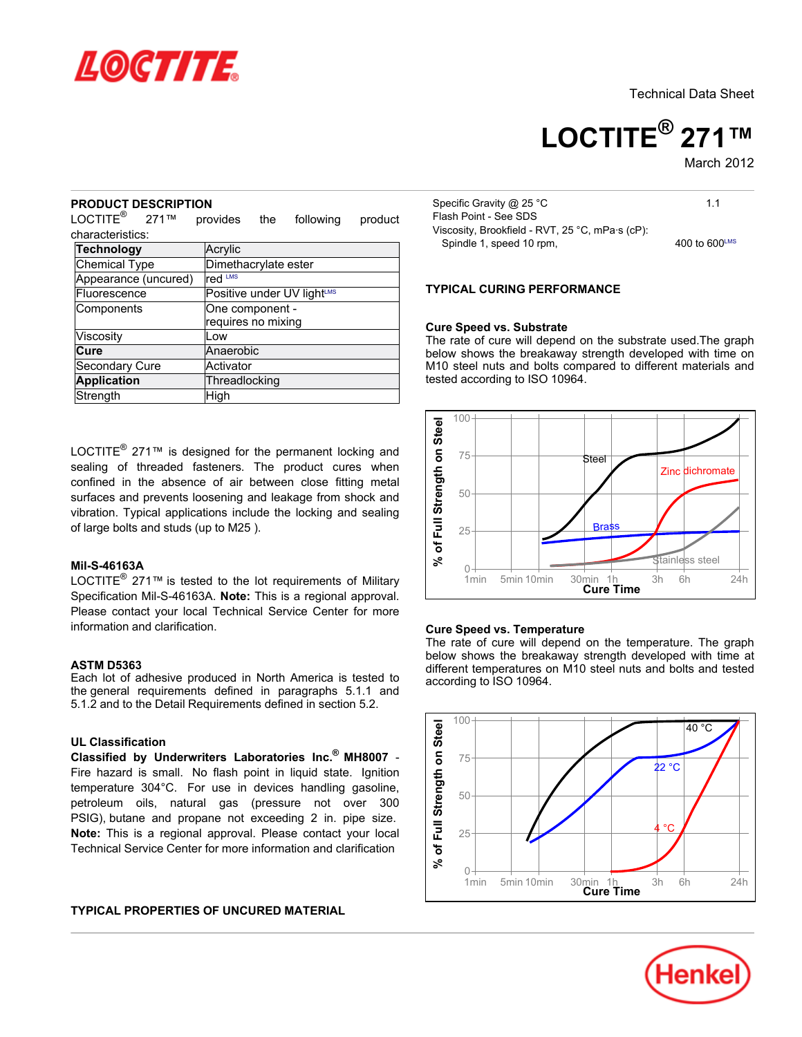

Technical Data Sheet

# **LOCTITE® 271™**

March-2012

#### **PRODUCT DESCRIPTION**

 $LOCTITE<sup>®</sup>$  271™ provides the following product characteristics:

| Technology           | Acrylic                               |  |  |  |
|----------------------|---------------------------------------|--|--|--|
| <b>Chemical Type</b> | Dimethacrylate ester                  |  |  |  |
| Appearance (uncured) | red LMS                               |  |  |  |
| Fluorescence         | Positive under UV lightLMS            |  |  |  |
| Components           | One component -<br>requires no mixing |  |  |  |
| Viscosity            | l ow                                  |  |  |  |
| Cure                 | Anaerobic                             |  |  |  |
| Secondary Cure       | Activator                             |  |  |  |
| <b>Application</b>   | Threadlocking                         |  |  |  |
| Strength             | High                                  |  |  |  |

LOCTITE $^{\circledR}$  271<sup>™</sup> is designed for the permanent locking and sealing of threaded fasteners. The product cures when confined in the absence of air between close fitting metal surfaces and prevents loosening and leakage from shock and vibration. Typical applications include the locking and sealing of large bolts and studs (up to M25 ).

# **Mil-S-46163A**

LOCTITE® 271™ is tested to the lot requirements of Military Specification Mil-S-46163A. **Note:** This is a regional approval. Please contact your local Technical Service Center for more information and clarification.

#### **ASTM D5363**

Each lot of adhesive produced in North America is tested to the general requirements defined in paragraphs 5.1.1 and 5.1.2 and to the Detail Requirements defined in section 5.2.

# **UL Classification**

**Classified by Underwriters Laboratories Inc.® MH8007** - Fire hazard is small. No flash point in liquid state. Ignition temperature 304°C. For use in devices handling gasoline, petroleum oils, natural gas (pressure not over 300 PSIG), butane and propane not exceeding 2 in. pipe size. **Note:** This is a regional approval. Please contact your local Technical Service Center for more information and clarification

#### **TYPICAL PROPERTIES OF UNCURED MATERIAL**

| 11               |
|------------------|
|                  |
|                  |
| 400 to 600 $LMS$ |
|                  |

#### **TYPICAL CURING PERFORMANCE**

#### **Cure Speed vs. Substrate**

The rate of cure will depend on the substrate used.The graph below shows the breakaway strength developed with time on M10 steel nuts and bolts compared to different materials and tested according to ISO 10964.



#### **Cure Speed vs. Temperature**

The rate of cure will depend on the temperature. The graph below shows the breakaway strength developed with time at different temperatures on M10 steel nuts and bolts and tested according to ISO 10964.



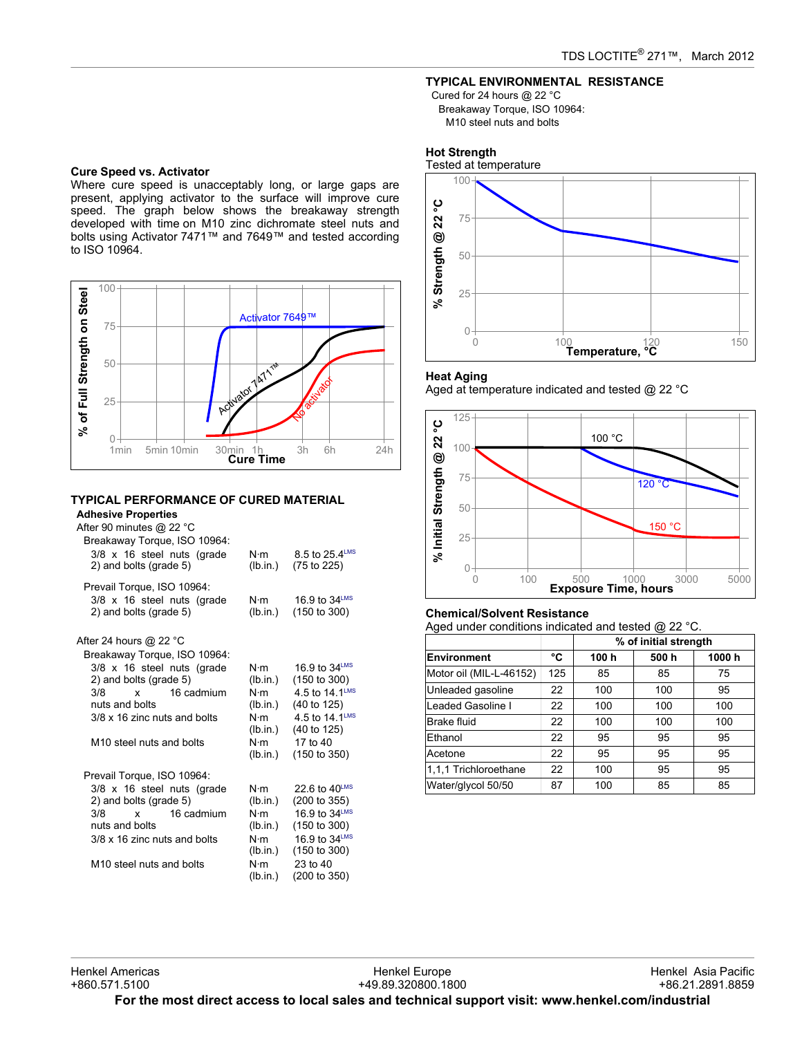# **TYPICAL ENVIRONMENTAL RESISTANCE**

Cured for 24 hours @ 22 °C Breakaway Torque, ISO 10964: M10 steel nuts and bolts

#### **Cure Speed vs. Activator**

Where cure speed is unacceptably long, or large gaps are present, applying activator to the surface will improve cure speed. The graph below shows the breakaway strength developed with time on M10 zinc dichromate steel nuts and bolts using Activator 7471™ and 7649™ and tested according to ISO 10964.



# **TYPICAL PERFORMANCE OF CURED MATERIAL**

# **Adhesive Properties**

| After 90 minutes @ 22 °C<br>Breakaway Torque, ISO 10964:<br>$3/8$ x 16 steel nuts (grade<br>2) and bolts (grade 5) | $N \cdot m$<br>(lb.in.) | 8.5 to 25.4LMS<br>(75 to 225)                 |
|--------------------------------------------------------------------------------------------------------------------|-------------------------|-----------------------------------------------|
| Prevail Torque, ISO 10964:<br>3/8 x 16 steel nuts (grade<br>2) and bolts (grade 5)                                 | N·m<br>(lb.in.)         | 16.9 to $34^{LMS}$<br>$(150 \text{ to } 300)$ |
| After 24 hours @ 22 °C                                                                                             |                         |                                               |
| Breakaway Torque, ISO 10964:                                                                                       |                         |                                               |
| 3/8 x 16 steel nuts (grade<br>2) and bolts (grade 5)                                                               | N⋅m<br>(lb.in.)         | 16.9 to $34^{LMS}$<br>$(150 \text{ to } 300)$ |
| x 16 cadmium<br>3/8<br>nuts and bolts                                                                              | N·m<br>(lb.in.)         | 4.5 to 14.1LMS<br>$(40 \text{ to } 125)$      |
| 3/8 x 16 zinc nuts and bolts                                                                                       | $N \cdot m$<br>(lb.in.) | 4.5 to 14.1LMS<br>(40 to 125)                 |
| M <sub>10</sub> steel nuts and bolts                                                                               | $N \cdot m$<br>(lb.in.) | 17 to 40<br>(150 to 350)                      |
| Prevail Torque, ISO 10964:                                                                                         |                         |                                               |
| 3/8 x 16 steel nuts (grade<br>2) and bolts (grade 5)                                                               | N∙m<br>(lb.in.)         | 22.6 to 40LMS<br>$(200 \text{ to } 355)$      |
| 3/8<br>16 cadmium<br>$\mathbf{x}$                                                                                  | $N \cdot m$             | 16.9 to 34LMS                                 |
| nuts and bolts                                                                                                     | (lb.in.)                | $(150 \text{ to } 300)$                       |
| 3/8 x 16 zinc nuts and bolts                                                                                       | $N \cdot m$<br>(lb.in.) | 16.9 to 34LMS<br>$(150 \text{ to } 300)$      |
| M <sub>10</sub> steel nuts and bolts                                                                               | $N \cdot m$<br>(lb.in.) | 23 to 40<br>(200 to 350)                      |

# **Hot Strength**



# **Heat Aging**

Aged at temperature indicated and tested @ 22 °C



#### **Chemical/Solvent Resistance**

Aged under conditions indicated and tested @ 22 °C.

|                         |     | % of initial strength |       |       |  |
|-------------------------|-----|-----------------------|-------|-------|--|
| <b>Environment</b>      | °C  | 100 h                 | 500 h | 1000h |  |
| Motor oil (MIL-L-46152) | 125 | 85                    | 85    | 75    |  |
| Unleaded gasoline       | 22  | 100                   | 100   | 95    |  |
| Leaded Gasoline I       | 22  | 100                   | 100   | 100   |  |
| Brake fluid             | 22  | 100                   | 100   | 100   |  |
| Ethanol                 | 22  | 95                    | 95    | 95    |  |
| Acetone                 | 22  | 95                    | 95    | 95    |  |
| 1,1,1 Trichloroethane   | 22  | 100                   | 95    | 95    |  |
| Water/glycol 50/50      | 87  | 100                   | 85    | 85    |  |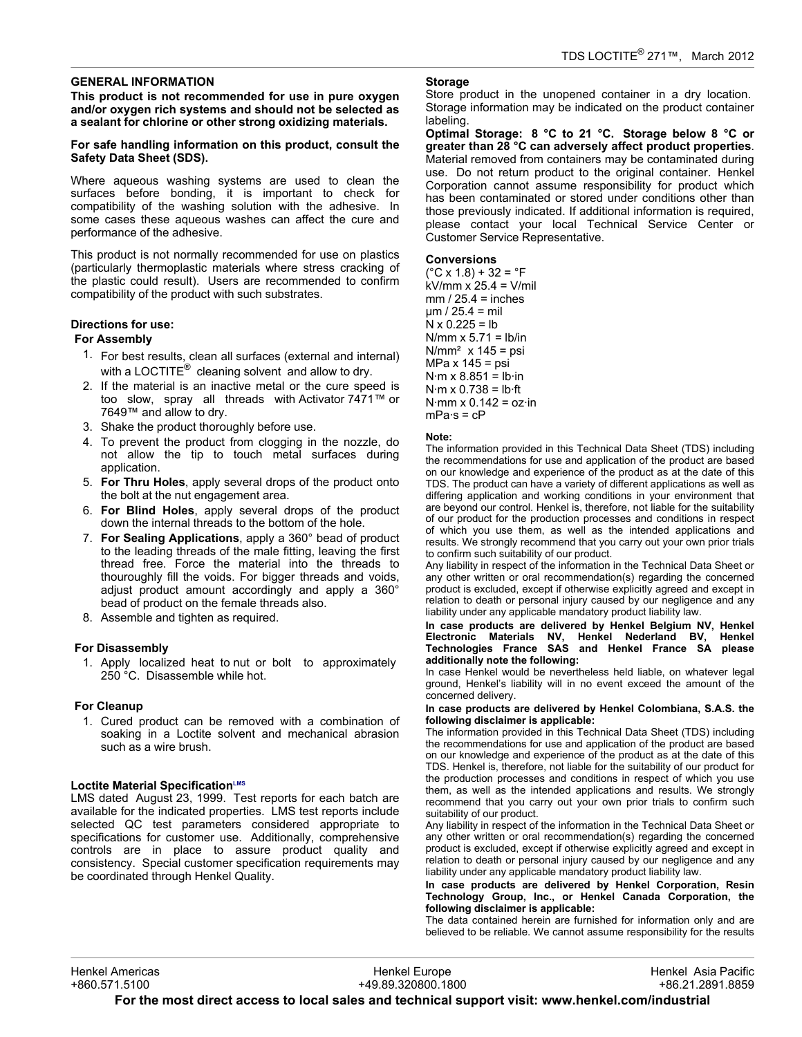# **GENERAL INFORMATION**

**This product is not recommended for use in pure oxygen and/or oxygen rich systems and should not be selected as a sealant for chlorine or other strong oxidizing materials.**

#### **For safe handling information on this product, consult the Safety Data Sheet (SDS).**

Where aqueous washing systems are used to clean the surfaces before bonding, it is important to check for compatibility of the washing solution with the adhesive. In some cases these aqueous washes can affect the cure and performance of the adhesive.

This product is not normally recommended for use on plastics (particularly thermoplastic materials where stress cracking of the plastic could result). Users are recommended to confirm compatibility of the product with such substrates.

# **Directions for use:**

# **For Assembly**

- 1. For best results, clean all surfaces (external and internal) with a LOCTITE $^{\circledR}$  cleaning solvent and allow to dry.
- 2. If the material is an inactive metal or the cure speed is too slow, spray all threads with Activator 7471™ or 7649™ and allow to dry.
- 3. Shake the product thoroughly before use.
- 4. To prevent the product from clogging in the nozzle, do not allow the tip to touch metal surfaces during application.
- 5. **For Thru Holes**, apply several drops of the product onto the bolt at the nut engagement area.
- 6. **For Blind Holes**, apply several drops of the product down the internal threads to the bottom of the hole.
- 7. **For Sealing Applications**, apply a 360° bead of product to the leading threads of the male fitting, leaving the first thread free. Force the material into the threads to thouroughly fill the voids. For bigger threads and voids, adjust product amount accordingly and apply a 360° bead of product on the female threads also.
- 8. Assemble and tighten as required.

# **For Disassembly**

1. Apply localized heat to nut or bolt to approximately 250 °C. Disassemble while hot.

#### **For Cleanup**

1. Cured product can be removed with a combination of soaking in a Loctite solvent and mechanical abrasion such as a wire brush.

#### **Loctite Material SpecificationLMS**

LMS dated August 23, 1999. Test reports for each batch are available for the indicated properties. LMS test reports include selected QC test parameters considered appropriate to specifications for customer use. Additionally, comprehensive controls are in place to assure product quality and consistency. Special customer specification requirements may be coordinated through Henkel Quality.

# **Storage**

Store product in the unopened container in a dry location. Storage information may be indicated on the product container labeling.

**Optimal Storage: 8 °C to 21 °C. Storage below 8 °C or greater than 28 °C can adversely affect product properties**. Material removed from containers may be contaminated during use. Do not return product to the original container. Henkel Corporation cannot assume responsibility for product which has been contaminated or stored under conditions other than those previously indicated. If additional information is required, please contact your local Technical Service Center or Customer Service Representative.

#### **Conversions**

 $(^{\circ}C \times 1.8) + 32 = ^{\circ}F$ kV/mm x 25.4 = V/mil  $mm / 25.4 = inches$  $µm / 25.4 = mil$  $N \times 0.225 = lb$ N/mm  $x$  5.71 = lb/in  $N/mm<sup>2</sup>$  x 145 = psi MPa x 145 = psi  $N·m \times 8.851 = lb·in$  $N·m \times 0.738 = lb·ft$ N $\cdot$ mm x 0.142 = oz $\cdot$ in  $mPa·s = cP$ 

#### **Note:**

The information provided in this Technical Data Sheet (TDS) including the recommendations for use and application of the product are based on our knowledge and experience of the product as at the date of this TDS. The product can have a variety of different applications as well as differing application and working conditions in your environment that are beyond our control. Henkel is, therefore, not liable for the suitability of our product for the production processes and conditions in respect of which you use them, as well as the intended applications and results. We strongly recommend that you carry out your own prior trials to confirm such suitability of our product.

Any liability in respect of the information in the Technical Data Sheet or any other written or oral recommendation(s) regarding the concerned product is excluded, except if otherwise explicitly agreed and except in relation to death or personal injury caused by our negligence and any liability under any applicable mandatory product liability law.

#### **In case products are delivered by Henkel Belgium NV, Henkel Electronic Materials NV, Henkel Nederland BV, Henkel Technologies France SAS and Henkel France SA please additionally note the following:**

In case Henkel would be nevertheless held liable, on whatever legal ground, Henkel's liability will in no event exceed the amount of the concerned delivery.

#### **In case products are delivered by Henkel Colombiana, S.A.S. the following disclaimer is applicable:**

The information provided in this Technical Data Sheet (TDS) including the recommendations for use and application of the product are based on our knowledge and experience of the product as at the date of this TDS. Henkel is, therefore, not liable for the suitability of our product for the production processes and conditions in respect of which you use them, as well as the intended applications and results. We strongly recommend that you carry out your own prior trials to confirm such suitability of our product.

Any liability in respect of the information in the Technical Data Sheet or any other written or oral recommendation(s) regarding the concerned product is excluded, except if otherwise explicitly agreed and except in relation to death or personal injury caused by our negligence and any liability under any applicable mandatory product liability law.

**In case products are delivered by Henkel Corporation, Resin Technology Group, Inc., or Henkel Canada Corporation, the following disclaimer is applicable:**

The data contained herein are furnished for information only and are believed to be reliable. We cannot assume responsibility for the results

Henkel Europe +49.89.320800.1800